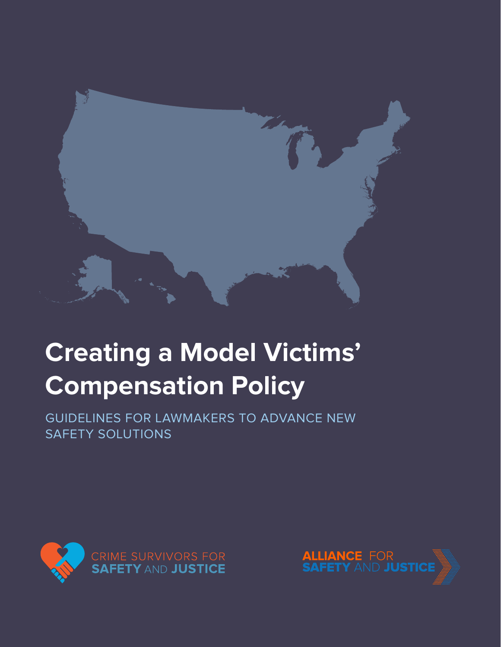

# **Creating a Model Victims' Compensation Policy**

GUIDELINES FOR LAWMAKERS TO ADVANCE NEW SAFETY SOLUTIONS



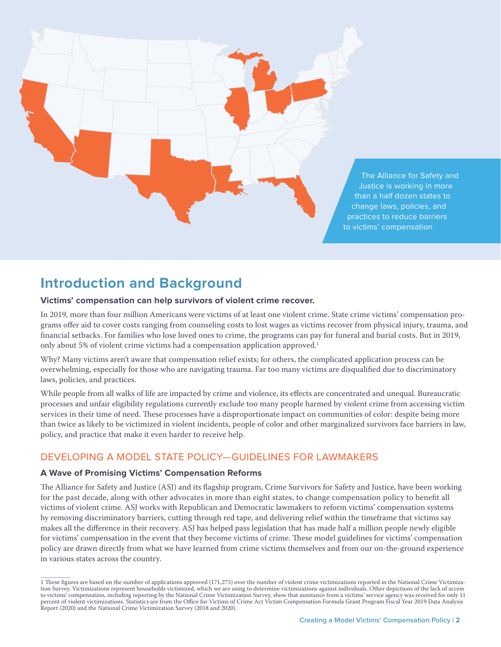

# **Introduction and Background**

#### **Victims' compensation can help survivors of violent crime recover.**

In 2019, more than four million Americans were victims of at least one violent crime. State crime victims' compensation programs offer aid to cover costs ranging from counseling costs to lost wages as victims recover from physical injury, trauma, and financial setbacks. For families who lose loved ones to crime, the programs can pay for funeral and burial costs. But in 2019, only about 5% of violent crime victims had a compensation application approved.<sup>1</sup>

Why? Many victims aren't aware that compensation relief exists; for others, the complicated application process can be overwhelming, especially for those who are navigating trauma. Far too many victims are disqualified due to discriminatory laws, policies, and practices.

While people from all walks of life are impacted by crime and violence, its effects are concentrated and unequal. Bureaucratic processes and unfair eligibility regulations currently exclude too many people harmed by violent crime from accessing victim services in their time of need. These processes have a disproportionate impact on communities of color: despite being more than twice as likely to be victimized in violent incidents, people of color and other marginalized survivors face barriers in law, policy, and practice that make it even harder to receive help.

## DEVELOPING A MODEL STATE POLICY—GUIDELINES FOR LAWMAKERS

#### **A Wave of Promising Victims' Compensation Reforms**

The Alliance for Safety and Justice (ASJ) and its flagship program, Crime Survivors for Safety and Justice, have been working for the past decade, along with other advocates in more than eight states, to change compensation policy to benefit all victims of violent crime. ASJ works with Republican and Democratic lawmakers to reform victims' compensation systems by removing discriminatory barriers, cutting through red tape, and delivering relief within the timeframe that victims say makes all the difference in their recovery. ASJ has helped pass legislation that has made half a million people newly eligible for victims' compensation in the event that they become victims of crime. These model guidelines for victims' compensation policy are drawn directly from what we have learned from crime victims themselves and from our on-the-ground experience in various states across the country.

<sup>1</sup> These figures are based on the number of applications approved (171,275) over the number of violent crime victimizations reported in the National Crime Victimization Survey. Victimizations represent households victimized, which we are using to determine victimizations against individuals. Other depictions of the lack of access to victims' compensation, including reporting by the National Crime Victimization Survey, show that assistance from a victims' service agency was received for only 11 percent of violent victimizations. Statistics are from the Office for Victims of Crime Act Victim Compensation Formula Grant Program Fiscal Year 2019 Data Analysis Report (2020) and the National Crime Victimization Survey (2018 and 2020).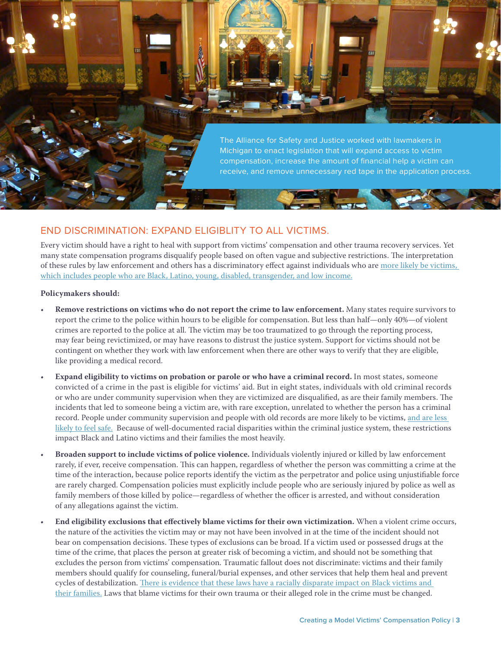The Alliance for Safety and Justice worked with lawmakers in Michigan to enact legislation that will expand access to victim compensation, increase the amount of financial help a victim can receive, and remove unnecessary red tape in the application process.

## END DISCRIMINATION: EXPAND ELIGIBLITY TO ALL VICTIMS.

Every victim should have a right to heal with support from victims' compensation and other trauma recovery services. Yet many state compensation programs disqualify people based on often vague and subjective restrictions. The interpretation of these rules by law enforcement and others has a discriminatory effect against individuals who are more likely be victims, which includes people who are Black, Latino, young, disabled, transgender, and low income.

#### **Policymakers should:**

- **Remove restrictions on victims who do not report the crime to law enforcement.** Many states require survivors to report the crime to the police within hours to be eligible for compensation. But less than half—only 40%—of violent crimes are reported to the police at all. The victim may be too traumatized to go through the reporting process, may fear being revictimized, or may have reasons to distrust the justice system. Support for victims should not be contingent on whether they work with law enforcement when there are other ways to verify that they are eligible, like providing a medical record.
- **Expand eligibility to victims on probation or parole or who have a criminal record.** In most states, someone convicted of a crime in the past is eligible for victims' aid. But in eight states, individuals with old criminal records or who are under community supervision when they are victimized are disqualified, as are their family members. The incidents that led to someone being a victim are, with rare exception, unrelated to whether the person has a criminal record. People under community supervision and people with old records are more likely to be victims, and are less likely to feel safe. Because of well-documented racial disparities within the criminal justice system, these restrictions impact Black and Latino victims and their families the most heavily.
- **Broaden support to include victims of police violence.** Individuals violently injured or killed by law enforcement rarely, if ever, receive compensation. This can happen, regardless of whether the person was committing a crime at the time of the interaction, because police reports identify the victim as the perpetrator and police using unjustifiable force are rarely charged. Compensation policies must explicitly include people who are seriously injured by police as well as family members of those killed by police—regardless of whether the officer is arrested, and without consideration of any allegations against the victim.
- **End eligibility exclusions that effectively blame victims for their own victimization.** When a violent crime occurs, the nature of the activities the victim may or may not have been involved in at the time of the incident should not bear on compensation decisions. These types of exclusions can be broad. If a victim used or possessed drugs at the time of the crime, that places the person at greater risk of becoming a victim, and should not be something that excludes the person from victims' compensation. Traumatic fallout does not discriminate: victims and their family members should qualify for counseling, funeral/burial expenses, and other services that help them heal and prevent cycles of destabilization. There is evidence that these laws have a racially disparate impact on Black victims and their families. Laws that blame victims for their own trauma or their alleged role in the crime must be changed.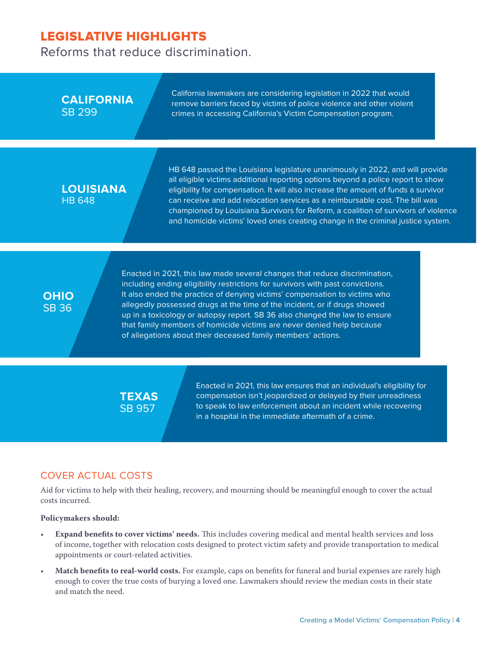Reforms that reduce discrimination.

| <b>CALIFORNIA</b><br><b>SB 299</b> |                                                                                                                                                                                                                                                                                                                                                                                                                                                                                                                                                | California lawmakers are considering legislation in 2022 that would<br>remove barriers faced by victims of police violence and other violent<br>crimes in accessing California's Victim Compensation program.                                                                                                                                                                                                                                                                                                     |
|------------------------------------|------------------------------------------------------------------------------------------------------------------------------------------------------------------------------------------------------------------------------------------------------------------------------------------------------------------------------------------------------------------------------------------------------------------------------------------------------------------------------------------------------------------------------------------------|-------------------------------------------------------------------------------------------------------------------------------------------------------------------------------------------------------------------------------------------------------------------------------------------------------------------------------------------------------------------------------------------------------------------------------------------------------------------------------------------------------------------|
| <b>LOUISIANA</b><br><b>HB 648</b>  |                                                                                                                                                                                                                                                                                                                                                                                                                                                                                                                                                | HB 648 passed the Louisiana legislature unanimously in 2022, and will provide<br>all eligible victims additional reporting options beyond a police report to show<br>eligibility for compensation. It will also increase the amount of funds a survivor<br>can receive and add relocation services as a reimbursable cost. The bill was<br>championed by Louisiana Survivors for Reform, a coalition of survivors of violence<br>and homicide victims' loved ones creating change in the criminal justice system. |
| <b>OHIO</b><br><b>SB 36</b>        | Enacted in 2021, this law made several changes that reduce discrimination,<br>including ending eligibility restrictions for survivors with past convictions.<br>It also ended the practice of denying victims' compensation to victims who<br>allegedly possessed drugs at the time of the incident, or if drugs showed<br>up in a toxicology or autopsy report. SB 36 also changed the law to ensure<br>that family members of homicide victims are never denied help because<br>of allegations about their deceased family members' actions. |                                                                                                                                                                                                                                                                                                                                                                                                                                                                                                                   |
|                                    |                                                                                                                                                                                                                                                                                                                                                                                                                                                                                                                                                | Enacted in 2021, this law ensures that an individual's eligibility for<br>compensation isn't jeopardized or delayed by their unreadiness<br>to speak to law enforcement about an incident while recovering<br>in a hospital in the immediate aftermath of a crime.                                                                                                                                                                                                                                                |
|                                    | <b>TEXAS</b><br><b>SB 957</b>                                                                                                                                                                                                                                                                                                                                                                                                                                                                                                                  |                                                                                                                                                                                                                                                                                                                                                                                                                                                                                                                   |

## COVER ACTUAL COSTS

Aid for victims to help with their healing, recovery, and mourning should be meaningful enough to cover the actual costs incurred.

#### **Policymakers should:**

- **Expand benefits to cover victims' needs.** This includes covering medical and mental health services and loss of income, together with relocation costs designed to protect victim safety and provide transportation to medical appointments or court-related activities.
- **Match benefits to real-world costs.** For example, caps on benefits for funeral and burial expenses are rarely high enough to cover the true costs of burying a loved one. Lawmakers should review the median costs in their state and match the need.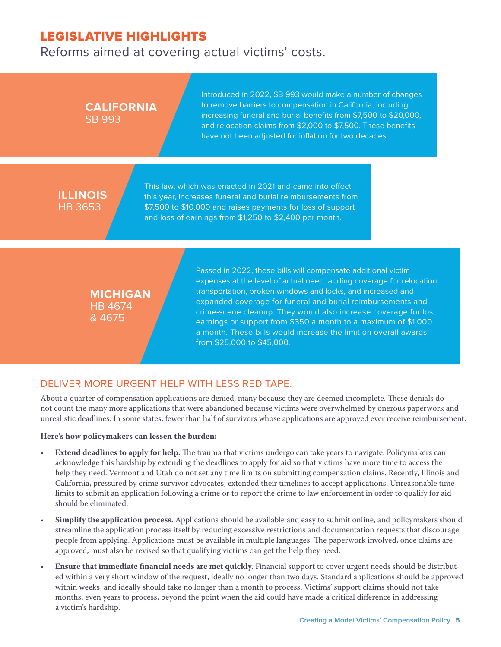Reforms aimed at covering actual victims' costs.

## Introduced in 2022, SB 993 would make a number of changes to remove barriers to compensation in California, including increasing funeral and burial benefits from \$7,500 to \$20,000, and relocation claims from \$2,000 to \$7,500. These benefits have not been adjusted for inflation for two decades. **CALIFORNIA** SB 993 This law, which was enacted in 2021 and came into effect this year, increases funeral and burial reimbursements from \$7,500 to \$10,000 and raises payments for loss of support and loss of earnings from \$1,250 to \$2,400 per month. **ILLINOIS** HB 3653 Passed in 2022, these bills will compensate additional victim expenses at the level of actual need, adding coverage for relocation, transportation, broken windows and locks, and increased and

#### **MICHIGAN** HB 4674 & 4675

expanded coverage for funeral and burial reimbursements and crime-scene cleanup. They would also increase coverage for lost earnings or support from \$350 a month to a maximum of \$1,000 a month. These bills would increase the limit on overall awards from \$25,000 to \$45,000.

## DELIVER MORE URGENT HELP WITH LESS RED TAPE.

About a quarter of compensation applications are denied, many because they are deemed incomplete. These denials do not count the many more applications that were abandoned because victims were overwhelmed by onerous paperwork and unrealistic deadlines. In some states, fewer than half of survivors whose applications are approved ever receive reimbursement.

#### **Here's how policymakers can lessen the burden:**

- **Extend deadlines to apply for help.** The trauma that victims undergo can take years to navigate. Policymakers can acknowledge this hardship by extending the deadlines to apply for aid so that victims have more time to access the help they need. Vermont and Utah do not set any time limits on submitting compensation claims. Recently, Illinois and California, pressured by crime survivor advocates, extended their timelines to accept applications. Unreasonable time limits to submit an application following a crime or to report the crime to law enforcement in order to qualify for aid should be eliminated.
- **Simplify the application process.** Applications should be available and easy to submit online, and policymakers should streamline the application process itself by reducing excessive restrictions and documentation requests that discourage people from applying. Applications must be available in multiple languages. The paperwork involved, once claims are approved, must also be revised so that qualifying victims can get the help they need.
- **Ensure that immediate financial needs are met quickly.** Financial support to cover urgent needs should be distributed within a very short window of the request, ideally no longer than two days. Standard applications should be approved within weeks, and ideally should take no longer than a month to process. Victims' support claims should not take months, even years to process, beyond the point when the aid could have made a critical difference in addressing a victim's hardship.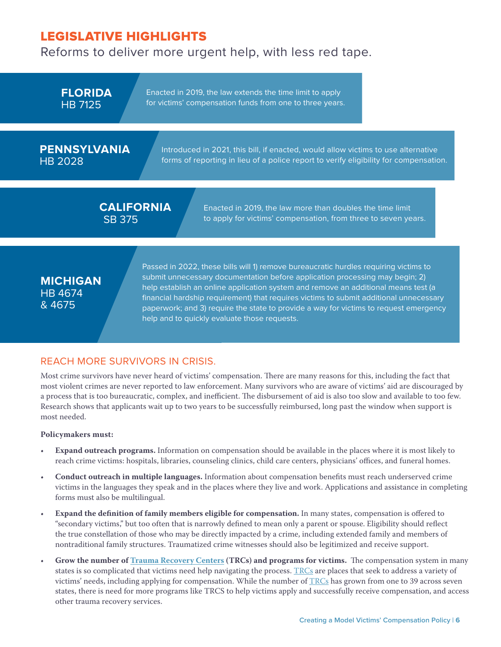Reforms to deliver more urgent help, with less red tape.

Passed in 2022, these bills will 1) remove bureaucratic hurdles requiring victims to submit unnecessary documentation before application processing may begin; 2) help establish an online application system and remove an additional means test (a **MICHIGAN** Enacted in 2019, the law more than doubles the time limit to apply for victims' compensation, from three to seven years. **CALIFORNIA** SB 375 Introduced in 2021, this bill, if enacted, would allow victims to use alternative forms of reporting in lieu of a police report to verify eligibility for compensation. Enacted in 2019, the law extends the time limit to apply for victims' compensation funds from one to three years. **FLORIDA** HB 7125 **PENNSYLVANIA** HB 2028

help and to quickly evaluate those requests.

HB 4674 & 4675

REACH MORE SURVIVORS IN CRISIS.

Most crime survivors have never heard of victims' compensation. There are many reasons for this, including the fact that most violent crimes are never reported to law enforcement. Many survivors who are aware of victims' aid are discouraged by a process that is too bureaucratic, complex, and inefficient. The disbursement of aid is also too slow and available to too few. Research shows that applicants wait up to two years to be successfully reimbursed, long past the window when support is most needed.

financial hardship requirement) that requires victims to submit additional unnecessary paperwork; and 3) require the state to provide a way for victims to request emergency

#### **Policymakers must:**

- **Expand outreach programs.** Information on compensation should be available in the places where it is most likely to reach crime victims: hospitals, libraries, counseling clinics, child care centers, physicians' offices, and funeral homes.
- **Conduct outreach in multiple languages.** Information about compensation benefits must reach underserved crime victims in the languages they speak and in the places where they live and work. Applications and assistance in completing forms must also be multilingual.
- **Expand the definition of family members eligible for compensation.** In many states, compensation is offered to "secondary victims," but too often that is narrowly defined to mean only a parent or spouse. Eligibility should reflect the true constellation of those who may be directly impacted by a crime, including extended family and members of nontraditional family structures. Traumatized crime witnesses should also be legitimized and receive support.
- **Grow the number of Trauma Recovery Centers (TRCs) and programs for victims.** The compensation system in many states is so complicated that victims need help navigating the process. TRCs are places that seek to address a variety of victims' needs, including applying for compensation. While the number of TRCs has grown from one to 39 across seven states, there is need for more programs like TRCS to help victims apply and successfully receive compensation, and access other trauma recovery services.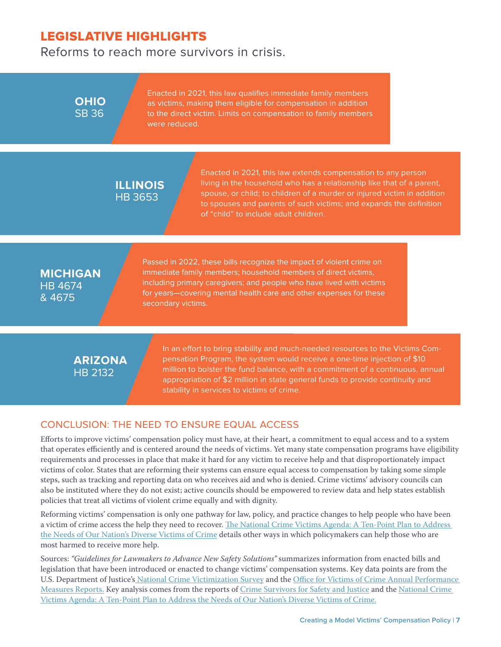Reforms to reach more survivors in crisis.

**OHIO** SB 36

Enacted in 2021, this law qualifies immediate family members as victims, making them eligible for compensation in addition to the direct victim. Limits on compensation to family members were reduced.

## **ILLINOIS** HB 3653

Enacted in 2021, this law extends compensation to any person living in the household who has a relationship like that of a parent, spouse, or child; to children of a murder or injured victim in addition to spouses and parents of such victims; and expands the definition of "child" to include adult children.

## **MICHIGAN** HB 4674 & 4675

Passed in 2022, these bills recognize the impact of violent crime on immediate family members; household members of direct victims, including primary caregivers; and people who have lived with victims for years—covering mental health care and other expenses for these secondary victims.

## **ARIZONA** HB 2132

In an effort to bring stability and much-needed resources to the Victims Compensation Program, the system would receive a one-time injection of \$10 million to bolster the fund balance, with a commitment of a continuous, annual appropriation of \$2 million in state general funds to provide continuity and stability in services to victims of crime.

## CONCLUSION: THE NEED TO ENSURE EQUAL ACCESS

Efforts to improve victims' compensation policy must have, at their heart, a commitment to equal access and to a system that operates efficiently and is centered around the needs of victims. Yet many state compensation programs have eligibility requirements and processes in place that make it hard for any victim to receive help and that disproportionately impact victims of color. States that are reforming their systems can ensure equal access to compensation by taking some simple steps, such as tracking and reporting data on who receives aid and who is denied. Crime victims' advisory councils can also be instituted where they do not exist; active councils should be empowered to review data and help states establish policies that treat all victims of violent crime equally and with dignity.

Reforming victims' compensation is only one pathway for law, policy, and practice changes to help people who have been a victim of crime access the help they need to recover. The National Crime Victims Agenda: A Ten-Point Plan to Address the Needs of Our Nation's Diverse Victims of Crime details other ways in which policymakers can help those who are most harmed to receive more help.

Sources: *"Guidelines for Lawmakers to Advance New Safety Solutions"* summarizes information from enacted bills and legislation that have been introduced or enacted to change victims' compensation systems. Key data points are from the U.S. Department of Justice's National Crime Victimization Survey and the Office for Victims of Crime Annual Performance Measures Reports. Key analysis comes from the reports of Crime Survivors for Safety and Justice and the National Crime Victims Agenda: A Ten-Point Plan to Address the Needs of Our Nation's Diverse Victims of Crime.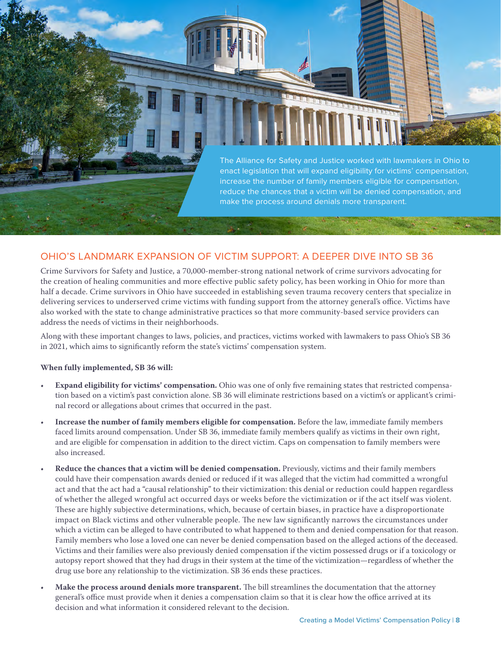

### OHIO'S LANDMARK EXPANSION OF VICTIM SUPPORT: A DEEPER DIVE INTO SB 36

Crime Survivors for Safety and Justice, a 70,000-member-strong national network of crime survivors advocating for the creation of healing communities and more effective public safety policy, has been working in Ohio for more than half a decade. Crime survivors in Ohio have succeeded in establishing seven trauma recovery centers that specialize in delivering services to underserved crime victims with funding support from the attorney general's office. Victims have also worked with the state to change administrative practices so that more community-based service providers can address the needs of victims in their neighborhoods.

Along with these important changes to laws, policies, and practices, victims worked with lawmakers to pass Ohio's SB 36 in 2021, which aims to significantly reform the state's victims' compensation system.

#### **When fully implemented, SB 36 will:**

- **Expand eligibility for victims' compensation.** Ohio was one of only five remaining states that restricted compensation based on a victim's past conviction alone. SB 36 will eliminate restrictions based on a victim's or applicant's criminal record or allegations about crimes that occurred in the past.
- **Increase the number of family members eligible for compensation.** Before the law, immediate family members faced limits around compensation. Under SB 36, immediate family members qualify as victims in their own right, and are eligible for compensation in addition to the direct victim. Caps on compensation to family members were also increased.
- **Reduce the chances that a victim will be denied compensation.** Previously, victims and their family members could have their compensation awards denied or reduced if it was alleged that the victim had committed a wrongful act and that the act had a "causal relationship" to their victimization: this denial or reduction could happen regardless of whether the alleged wrongful act occurred days or weeks before the victimization or if the act itself was violent. These are highly subjective determinations, which, because of certain biases, in practice have a disproportionate impact on Black victims and other vulnerable people. The new law significantly narrows the circumstances under which a victim can be alleged to have contributed to what happened to them and denied compensation for that reason. Family members who lose a loved one can never be denied compensation based on the alleged actions of the deceased. Victims and their families were also previously denied compensation if the victim possessed drugs or if a toxicology or autopsy report showed that they had drugs in their system at the time of the victimization—regardless of whether the drug use bore any relationship to the victimization. SB 36 ends these practices.
- **Make the process around denials more transparent.** The bill streamlines the documentation that the attorney general's office must provide when it denies a compensation claim so that it is clear how the office arrived at its decision and what information it considered relevant to the decision.